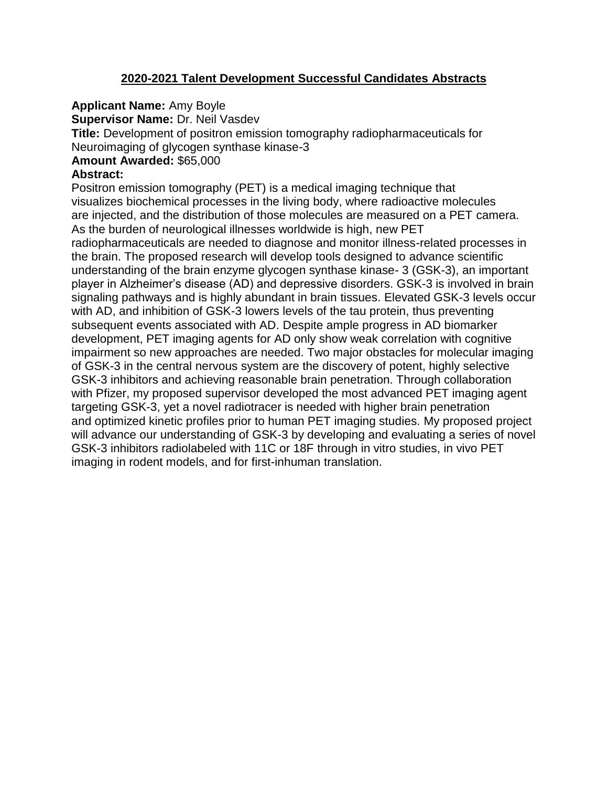# **2020-2021 Talent Development Successful Candidates Abstracts**

**Applicant Name:** Amy Boyle

**Supervisor Name: Dr. Neil Vasdev** 

**Title:** Development of positron emission tomography radiopharmaceuticals for Neuroimaging of glycogen synthase kinase-3

# **Amount Awarded:** \$65,000

# **Abstract:**

Positron emission tomography (PET) is a medical imaging technique that visualizes biochemical processes in the living body, where radioactive molecules are injected, and the distribution of those molecules are measured on a PET camera. As the burden of neurological illnesses worldwide is high, new PET radiopharmaceuticals are needed to diagnose and monitor illness-related processes in the brain. The proposed research will develop tools designed to advance scientific understanding of the brain enzyme glycogen synthase kinase- 3 (GSK-3), an important player in Alzheimer's disease (AD) and depressive disorders. GSK-3 is involved in brain signaling pathways and is highly abundant in brain tissues. Elevated GSK-3 levels occur with AD, and inhibition of GSK-3 lowers levels of the tau protein, thus preventing subsequent events associated with AD. Despite ample progress in AD biomarker development, PET imaging agents for AD only show weak correlation with cognitive impairment so new approaches are needed. Two major obstacles for molecular imaging of GSK-3 in the central nervous system are the discovery of potent, highly selective GSK-3 inhibitors and achieving reasonable brain penetration. Through collaboration with Pfizer, my proposed supervisor developed the most advanced PET imaging agent targeting GSK-3, yet a novel radiotracer is needed with higher brain penetration and optimized kinetic profiles prior to human PET imaging studies. My proposed project will advance our understanding of GSK-3 by developing and evaluating a series of novel GSK-3 inhibitors radiolabeled with 11C or 18F through in vitro studies, in vivo PET imaging in rodent models, and for first-inhuman translation.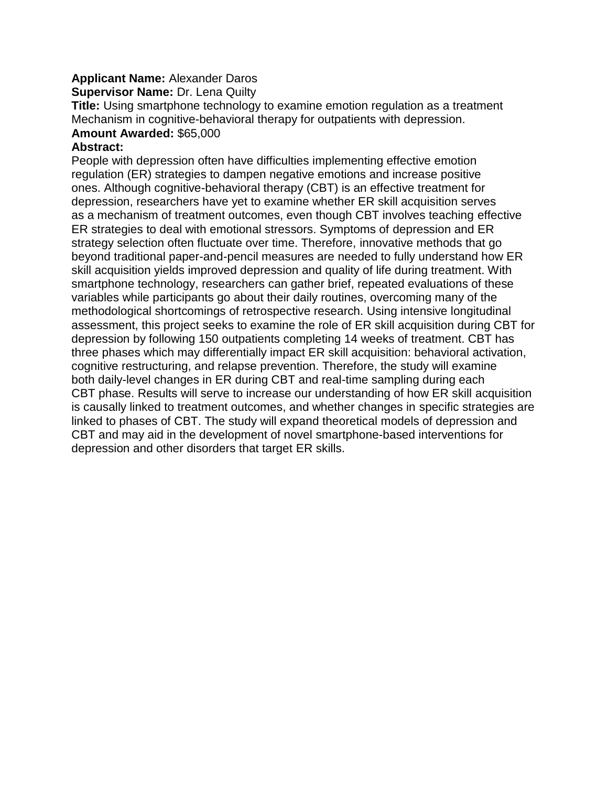# **Applicant Name:** Alexander Daros

**Supervisor Name: Dr. Lena Quilty** 

**Title:** Using smartphone technology to examine emotion regulation as a treatment Mechanism in cognitive-behavioral therapy for outpatients with depression. **Amount Awarded:** \$65,000

# **Abstract:**

People with depression often have difficulties implementing effective emotion regulation (ER) strategies to dampen negative emotions and increase positive ones. Although cognitive-behavioral therapy (CBT) is an effective treatment for depression, researchers have yet to examine whether ER skill acquisition serves as a mechanism of treatment outcomes, even though CBT involves teaching effective ER strategies to deal with emotional stressors. Symptoms of depression and ER strategy selection often fluctuate over time. Therefore, innovative methods that go beyond traditional paper-and-pencil measures are needed to fully understand how ER skill acquisition yields improved depression and quality of life during treatment. With smartphone technology, researchers can gather brief, repeated evaluations of these variables while participants go about their daily routines, overcoming many of the methodological shortcomings of retrospective research. Using intensive longitudinal assessment, this project seeks to examine the role of ER skill acquisition during CBT for depression by following 150 outpatients completing 14 weeks of treatment. CBT has three phases which may differentially impact ER skill acquisition: behavioral activation, cognitive restructuring, and relapse prevention. Therefore, the study will examine both daily-level changes in ER during CBT and real-time sampling during each CBT phase. Results will serve to increase our understanding of how ER skill acquisition is causally linked to treatment outcomes, and whether changes in specific strategies are linked to phases of CBT. The study will expand theoretical models of depression and CBT and may aid in the development of novel smartphone-based interventions for depression and other disorders that target ER skills.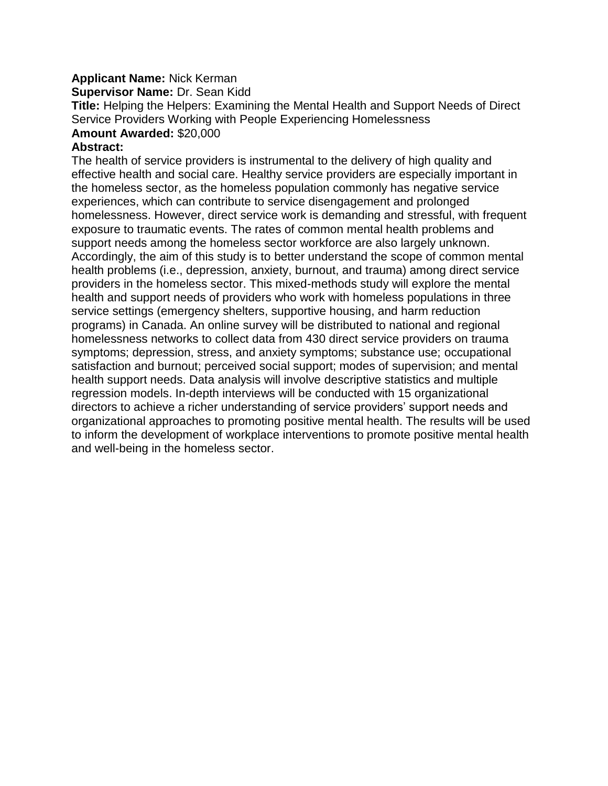# **Applicant Name:** Nick Kerman

**Supervisor Name:** Dr. Sean Kidd

**Title:** Helping the Helpers: Examining the Mental Health and Support Needs of Direct Service Providers Working with People Experiencing Homelessness **Amount Awarded:** \$20,000

## **Abstract:**

The health of service providers is instrumental to the delivery of high quality and effective health and social care. Healthy service providers are especially important in the homeless sector, as the homeless population commonly has negative service experiences, which can contribute to service disengagement and prolonged homelessness. However, direct service work is demanding and stressful, with frequent exposure to traumatic events. The rates of common mental health problems and support needs among the homeless sector workforce are also largely unknown. Accordingly, the aim of this study is to better understand the scope of common mental health problems (i.e., depression, anxiety, burnout, and trauma) among direct service providers in the homeless sector. This mixed-methods study will explore the mental health and support needs of providers who work with homeless populations in three service settings (emergency shelters, supportive housing, and harm reduction programs) in Canada. An online survey will be distributed to national and regional homelessness networks to collect data from 430 direct service providers on trauma symptoms; depression, stress, and anxiety symptoms; substance use; occupational satisfaction and burnout; perceived social support; modes of supervision; and mental health support needs. Data analysis will involve descriptive statistics and multiple regression models. In-depth interviews will be conducted with 15 organizational directors to achieve a richer understanding of service providers' support needs and organizational approaches to promoting positive mental health. The results will be used to inform the development of workplace interventions to promote positive mental health and well-being in the homeless sector.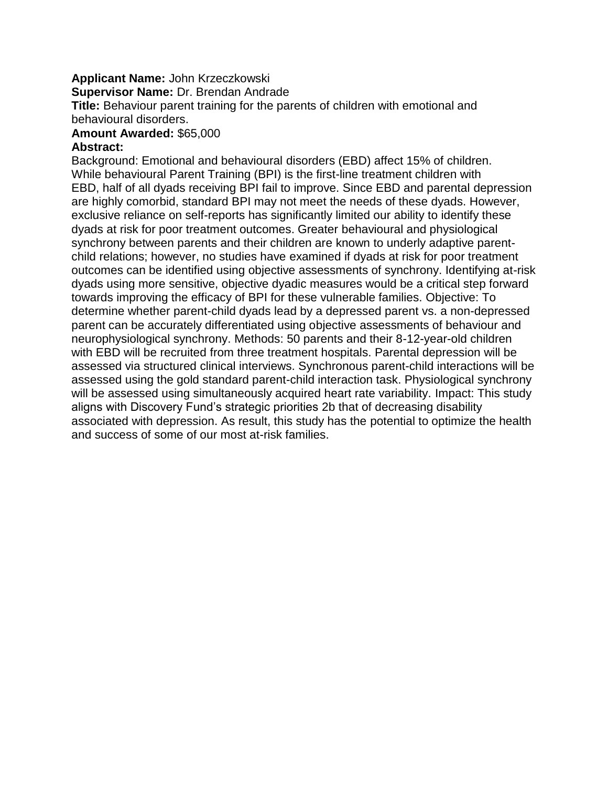### **Applicant Name:** John Krzeczkowski

**Supervisor Name:** Dr. Brendan Andrade

**Title:** Behaviour parent training for the parents of children with emotional and behavioural disorders.

#### **Amount Awarded:** \$65,000 **Abstract:**

Background: Emotional and behavioural disorders (EBD) affect 15% of children. While behavioural Parent Training (BPI) is the first-line treatment children with EBD, half of all dyads receiving BPI fail to improve. Since EBD and parental depression are highly comorbid, standard BPI may not meet the needs of these dyads. However, exclusive reliance on self-reports has significantly limited our ability to identify these dyads at risk for poor treatment outcomes. Greater behavioural and physiological synchrony between parents and their children are known to underly adaptive parentchild relations; however, no studies have examined if dyads at risk for poor treatment outcomes can be identified using objective assessments of synchrony. Identifying at-risk dyads using more sensitive, objective dyadic measures would be a critical step forward towards improving the efficacy of BPI for these vulnerable families. Objective: To determine whether parent-child dyads lead by a depressed parent vs. a non-depressed parent can be accurately differentiated using objective assessments of behaviour and neurophysiological synchrony. Methods: 50 parents and their 8-12-year-old children with EBD will be recruited from three treatment hospitals. Parental depression will be assessed via structured clinical interviews. Synchronous parent-child interactions will be assessed using the gold standard parent-child interaction task. Physiological synchrony will be assessed using simultaneously acquired heart rate variability. Impact: This study aligns with Discovery Fund's strategic priorities 2b that of decreasing disability associated with depression. As result, this study has the potential to optimize the health and success of some of our most at-risk families.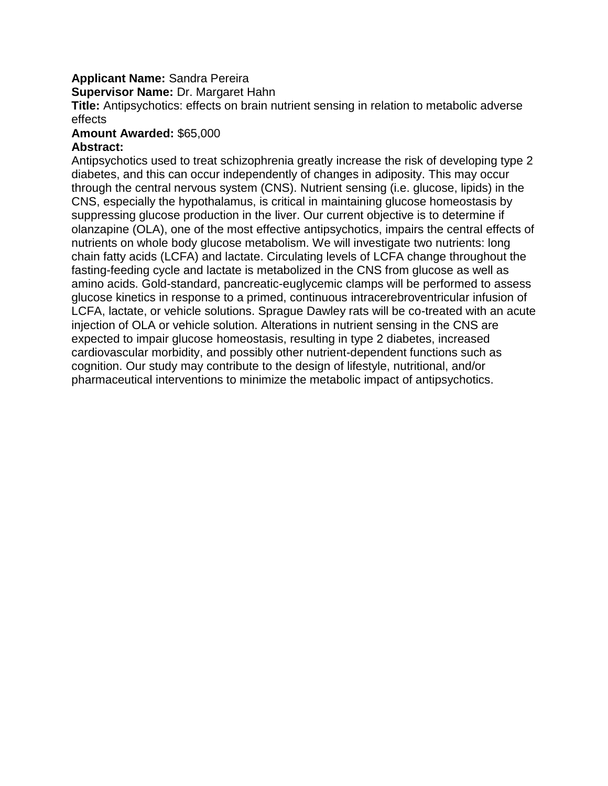# **Applicant Name:** Sandra Pereira

**Supervisor Name:** Dr. Margaret Hahn

**Title:** Antipsychotics: effects on brain nutrient sensing in relation to metabolic adverse effects

#### **Amount Awarded:** \$65,000 **Abstract:**

Antipsychotics used to treat schizophrenia greatly increase the risk of developing type 2 diabetes, and this can occur independently of changes in adiposity. This may occur through the central nervous system (CNS). Nutrient sensing (i.e. glucose, lipids) in the CNS, especially the hypothalamus, is critical in maintaining glucose homeostasis by suppressing glucose production in the liver. Our current objective is to determine if olanzapine (OLA), one of the most effective antipsychotics, impairs the central effects of nutrients on whole body glucose metabolism. We will investigate two nutrients: long chain fatty acids (LCFA) and lactate. Circulating levels of LCFA change throughout the fasting-feeding cycle and lactate is metabolized in the CNS from glucose as well as amino acids. Gold-standard, pancreatic-euglycemic clamps will be performed to assess glucose kinetics in response to a primed, continuous intracerebroventricular infusion of LCFA, lactate, or vehicle solutions. Sprague Dawley rats will be co-treated with an acute injection of OLA or vehicle solution. Alterations in nutrient sensing in the CNS are expected to impair glucose homeostasis, resulting in type 2 diabetes, increased cardiovascular morbidity, and possibly other nutrient-dependent functions such as cognition. Our study may contribute to the design of lifestyle, nutritional, and/or pharmaceutical interventions to minimize the metabolic impact of antipsychotics.